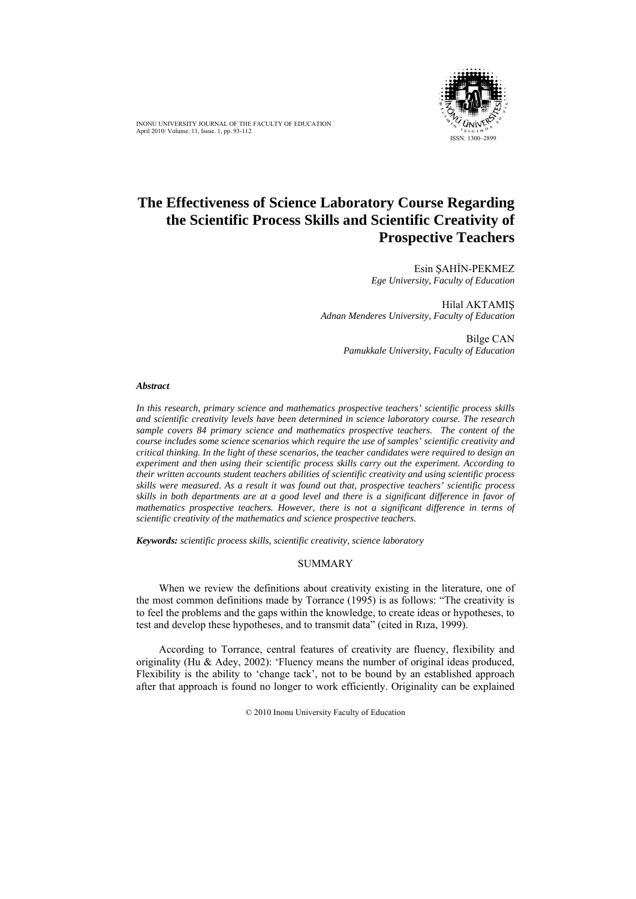INONU UNIVERSITY JOURNAL OF THE FACULTY OF EDUCATION April 2010/ Volume. 11, Issue. 1, pp. 93-112



# **The Effectiveness of Science Laboratory Course Regarding the Scientific Process Skills and Scientific Creativity of Prospective Teachers**

Esin ŞAHİN-PEKMEZ *Ege University, Faculty of Education* 

Hilal AKTAMIŞ *Adnan Menderes University, Faculty of Education* 

> Bilge CAN *Pamukkale University, Faculty of Education*

#### *Abstract*

*In this research, primary science and mathematics prospective teachers' scientific process skills and scientific creativity levels have been determined in science laboratory course. The research sample covers 84 primary science and mathematics prospective teachers. The content of the course includes some science scenarios which require the use of samples' scientific creativity and critical thinking. In the light of these scenarios, the teacher candidates were required to design an experiment and then using their scientific process skills carry out the experiment. According to their written accounts student teachers abilities of scientific creativity and using scientific process skills were measured. As a result it was found out that, prospective teachers' scientific process skills in both departments are at a good level and there is a significant difference in favor of mathematics prospective teachers. However, there is not a significant difference in terms of scientific creativity of the mathematics and science prospective teachers.* 

*Keywords: scientific process skills, scientific creativity, science laboratory* 

#### SUMMARY

When we review the definitions about creativity existing in the literature, one of the most common definitions made by Torrance (1995) is as follows: "The creativity is to feel the problems and the gaps within the knowledge, to create ideas or hypotheses, to test and develop these hypotheses, and to transmit data" (cited in Rıza, 1999).

According to Torrance, central features of creativity are fluency, flexibility and originality (Hu & Adey, 2002): 'Fluency means the number of original ideas produced, Flexibility is the ability to 'change tack', not to be bound by an established approach after that approach is found no longer to work efficiently. Originality can be explained

© 2010 Inonu University Faculty of Education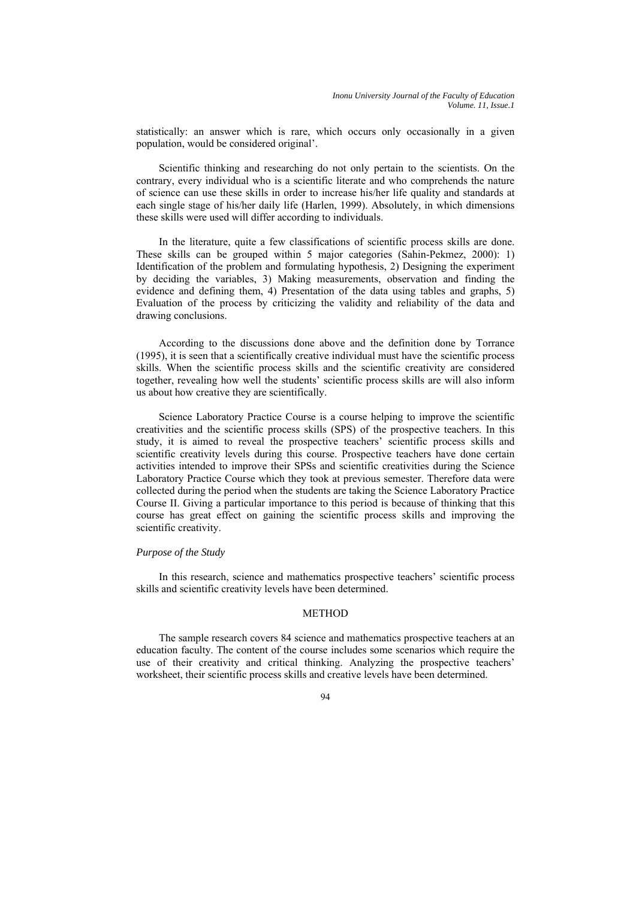statistically: an answer which is rare, which occurs only occasionally in a given population, would be considered original'.

Scientific thinking and researching do not only pertain to the scientists. On the contrary, every individual who is a scientific literate and who comprehends the nature of science can use these skills in order to increase his/her life quality and standards at each single stage of his/her daily life (Harlen, 1999). Absolutely, in which dimensions these skills were used will differ according to individuals.

In the literature, quite a few classifications of scientific process skills are done. These skills can be grouped within 5 major categories (Sahin-Pekmez, 2000): 1) Identification of the problem and formulating hypothesis, 2) Designing the experiment by deciding the variables, 3) Making measurements, observation and finding the evidence and defining them, 4) Presentation of the data using tables and graphs, 5) Evaluation of the process by criticizing the validity and reliability of the data and drawing conclusions.

According to the discussions done above and the definition done by Torrance (1995), it is seen that a scientifically creative individual must have the scientific process skills. When the scientific process skills and the scientific creativity are considered together, revealing how well the students' scientific process skills are will also inform us about how creative they are scientifically.

Science Laboratory Practice Course is a course helping to improve the scientific creativities and the scientific process skills (SPS) of the prospective teachers. In this study, it is aimed to reveal the prospective teachers' scientific process skills and scientific creativity levels during this course. Prospective teachers have done certain activities intended to improve their SPSs and scientific creativities during the Science Laboratory Practice Course which they took at previous semester. Therefore data were collected during the period when the students are taking the Science Laboratory Practice Course II. Giving a particular importance to this period is because of thinking that this course has great effect on gaining the scientific process skills and improving the scientific creativity.

## *Purpose of the Study*

In this research, science and mathematics prospective teachers' scientific process skills and scientific creativity levels have been determined.

#### METHOD

The sample research covers 84 science and mathematics prospective teachers at an education faculty. The content of the course includes some scenarios which require the use of their creativity and critical thinking. Analyzing the prospective teachers' worksheet, their scientific process skills and creative levels have been determined.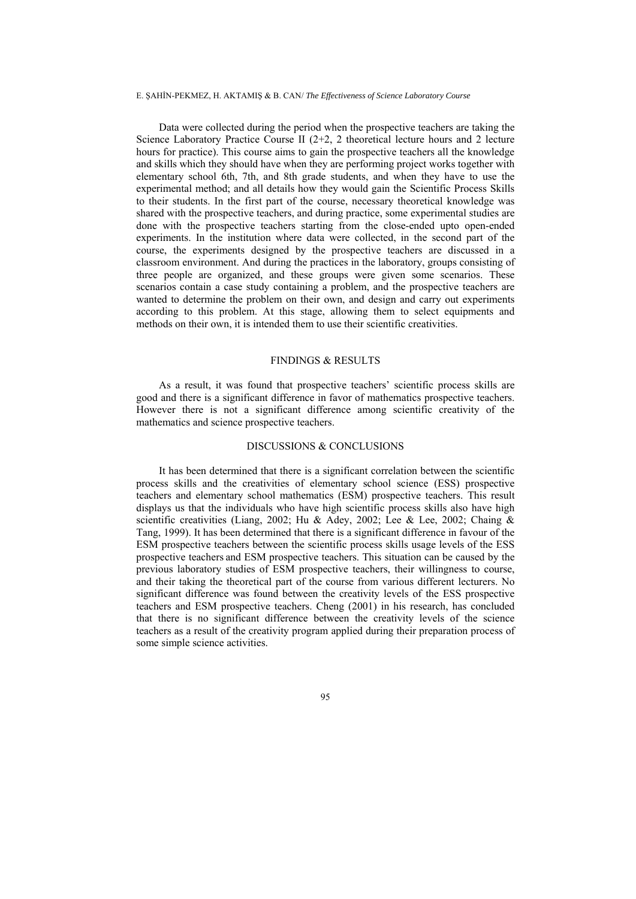#### E. ŞAHİN-PEKMEZ, H. AKTAMIŞ & B. CAN/ *The Effectiveness of Science Laboratory Course*

Data were collected during the period when the prospective teachers are taking the Science Laboratory Practice Course II (2+2, 2 theoretical lecture hours and 2 lecture hours for practice). This course aims to gain the prospective teachers all the knowledge and skills which they should have when they are performing project works together with elementary school 6th, 7th, and 8th grade students, and when they have to use the experimental method; and all details how they would gain the Scientific Process Skills to their students. In the first part of the course, necessary theoretical knowledge was shared with the prospective teachers, and during practice, some experimental studies are done with the prospective teachers starting from the close-ended upto open-ended experiments. In the institution where data were collected, in the second part of the course, the experiments designed by the prospective teachers are discussed in a classroom environment. And during the practices in the laboratory, groups consisting of three people are organized, and these groups were given some scenarios. These scenarios contain a case study containing a problem, and the prospective teachers are wanted to determine the problem on their own, and design and carry out experiments according to this problem. At this stage, allowing them to select equipments and methods on their own, it is intended them to use their scientific creativities.

## FINDINGS & RESULTS

As a result, it was found that prospective teachers' scientific process skills are good and there is a significant difference in favor of mathematics prospective teachers. However there is not a significant difference among scientific creativity of the mathematics and science prospective teachers.

#### DISCUSSIONS & CONCLUSIONS

It has been determined that there is a significant correlation between the scientific process skills and the creativities of elementary school science (ESS) prospective teachers and elementary school mathematics (ESM) prospective teachers. This result displays us that the individuals who have high scientific process skills also have high scientific creativities (Liang, 2002; Hu & Adey, 2002; Lee & Lee, 2002; Chaing & Tang, 1999). It has been determined that there is a significant difference in favour of the ESM prospective teachers between the scientific process skills usage levels of the ESS prospective teachers and ESM prospective teachers. This situation can be caused by the previous laboratory studies of ESM prospective teachers, their willingness to course, and their taking the theoretical part of the course from various different lecturers. No significant difference was found between the creativity levels of the ESS prospective teachers and ESM prospective teachers. Cheng (2001) in his research, has concluded that there is no significant difference between the creativity levels of the science teachers as a result of the creativity program applied during their preparation process of some simple science activities.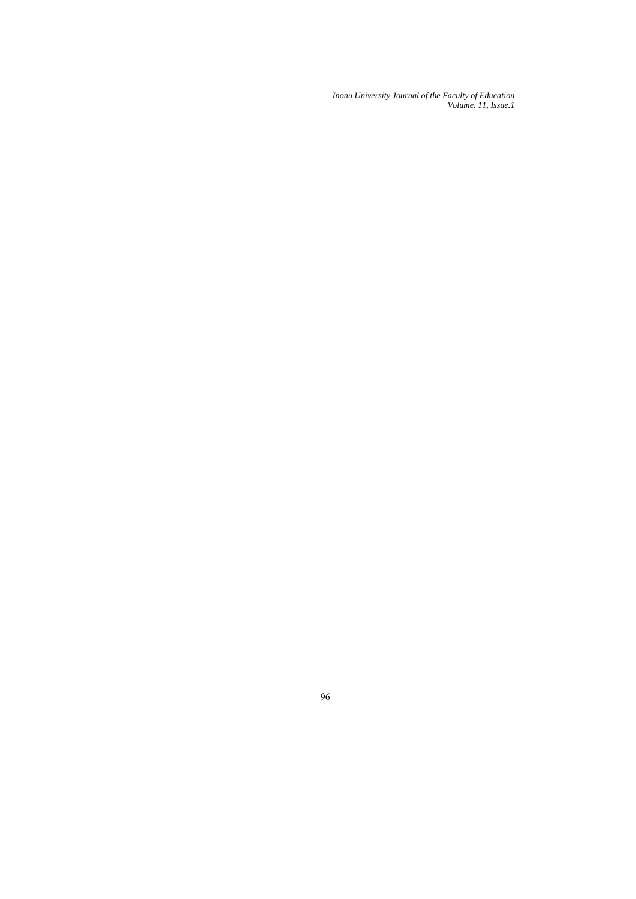*Inonu University Journal of the Faculty of Education Volume. 11, Issue.1*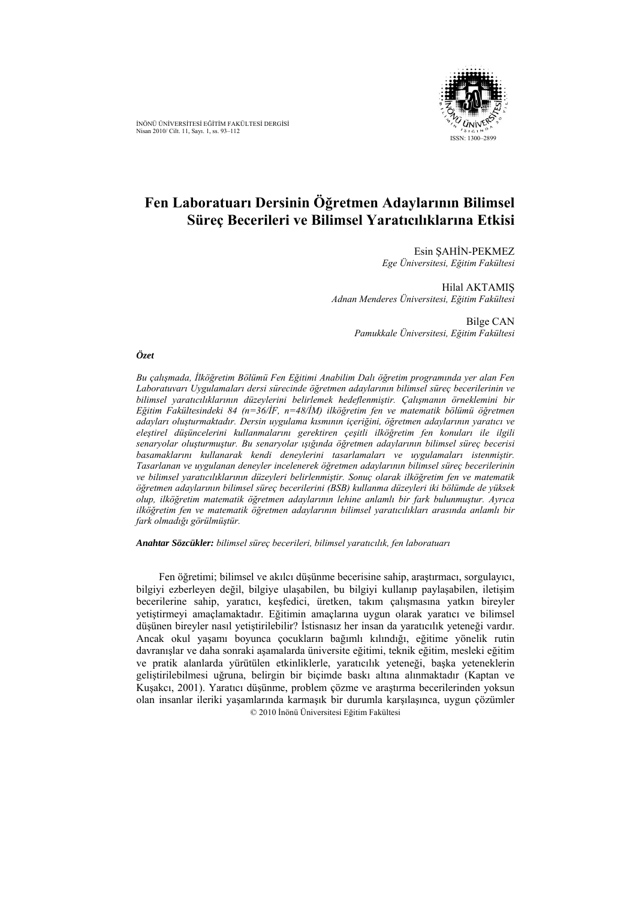İNÖNÜ ÜNİVERSİTESİ EĞİTİM FAKÜLTESİ DERGİSİ Nisan 2010/ Cilt. 11, Sayı. 1, ss. 93–112



# **Fen Laboratuarı Dersinin Öğretmen Adaylarının Bilimsel Süreç Becerileri ve Bilimsel Yaratıcılıklarına Etkisi**

Esin ŞAHİN-PEKMEZ *Ege Üniversitesi, Eğitim Fakültesi* 

Hilal AKTAMIŞ *Adnan Menderes Üniversitesi, Eğitim Fakültesi* 

> Bilge CAN *Pamukkale Üniversitesi, Eğitim Fakültesi*

### *Özet*

*Bu çalışmada, İlköğretim Bölümü Fen Eğitimi Anabilim Dalı öğretim programında yer alan Fen Laboratuvarı Uygulamaları dersi sürecinde öğretmen adaylarının bilimsel süreç becerilerinin ve bilimsel yaratıcılıklarının düzeylerini belirlemek hedeflenmiştir. Çalışmanın örneklemini bir Eğitim Fakültesindeki 84 (n=36/İF, n=48/İM) ilköğretim fen ve matematik bölümü öğretmen adayları oluşturmaktadır. Dersin uygulama kısmının içeriğini, öğretmen adaylarının yaratıcı ve eleştirel düşüncelerini kullanmalarını gerektiren çeşitli ilköğretim fen konuları ile ilgili senaryolar oluşturmuştur. Bu senaryolar ışığında öğretmen adaylarının bilimsel süreç becerisi basamaklarını kullanarak kendi deneylerini tasarlamaları ve uygulamaları istenmiştir. Tasarlanan ve uygulanan deneyler incelenerek öğretmen adaylarının bilimsel süreç becerilerinin ve bilimsel yaratıcılıklarının düzeyleri belirlenmiştir. Sonuç olarak ilköğretim fen ve matematik öğretmen adaylarının bilimsel süreç becerilerini (BSB) kullanma düzeyleri iki bölümde de yüksek olup, ilköğretim matematik öğretmen adaylarının lehine anlamlı bir fark bulunmuştur. Ayrıca ilköğretim fen ve matematik öğretmen adaylarının bilimsel yaratıcılıkları arasında anlamlı bir fark olmadığı görülmüştür.* 

*Anahtar Sözcükler: bilimsel süreç becerileri, bilimsel yaratıcılık, fen laboratuarı*

© 2010 İnönü Üniversitesi Eğitim Fakültesi Fen öğretimi; bilimsel ve akılcı düşünme becerisine sahip, araştırmacı, sorgulayıcı, bilgiyi ezberleyen değil, bilgiye ulaşabilen, bu bilgiyi kullanıp paylaşabilen, iletişim becerilerine sahip, yaratıcı, keşfedici, üretken, takım çalışmasına yatkın bireyler yetiştirmeyi amaçlamaktadır. Eğitimin amaçlarına uygun olarak yaratıcı ve bilimsel düşünen bireyler nasıl yetiştirilebilir? İstisnasız her insan da yaratıcılık yeteneği vardır. Ancak okul yaşamı boyunca çocukların bağımlı kılındığı, eğitime yönelik rutin davranışlar ve daha sonraki aşamalarda üniversite eğitimi, teknik eğitim, mesleki eğitim ve pratik alanlarda yürütülen etkinliklerle, yaratıcılık yeteneği, başka yeteneklerin geliştirilebilmesi uğruna, belirgin bir biçimde baskı altına alınmaktadır (Kaptan ve Kuşakcı, 2001). Yaratıcı düşünme, problem çözme ve araştırma becerilerinden yoksun olan insanlar ileriki yaşamlarında karmaşık bir durumla karşılaşınca, uygun çözümler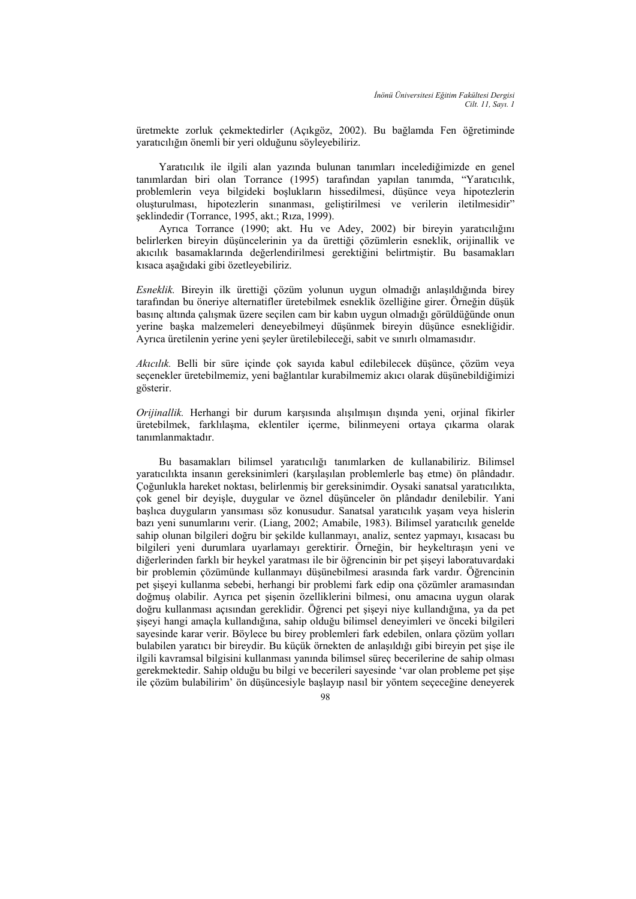üretmekte zorluk çekmektedirler (Açıkgöz, 2002). Bu bağlamda Fen öğretiminde yaratıcılığın önemli bir yeri olduğunu söyleyebiliriz.

Yaratıcılık ile ilgili alan yazında bulunan tanımları incelediğimizde en genel tanımlardan biri olan Torrance (1995) tarafından yapılan tanımda, "Yaratıcılık, problemlerin veya bilgideki boşlukların hissedilmesi, düşünce veya hipotezlerin oluşturulması, hipotezlerin sınanması, geliştirilmesi ve verilerin iletilmesidir" şeklindedir (Torrance, 1995, akt.; Rıza, 1999).

Ayrıca Torrance (1990; akt. Hu ve Adey, 2002) bir bireyin yaratıcılığını belirlerken bireyin düşüncelerinin ya da ürettiği çözümlerin esneklik, orijinallik ve akıcılık basamaklarında değerlendirilmesi gerektiğini belirtmiştir. Bu basamakları kısaca aşağıdaki gibi özetleyebiliriz.

*Esneklik.* Bireyin ilk ürettiği çözüm yolunun uygun olmadığı anlaşıldığında birey tarafından bu öneriye alternatifler üretebilmek esneklik özelliğine girer. Örneğin düşük basınç altında çalışmak üzere seçilen cam bir kabın uygun olmadığı görüldüğünde onun yerine başka malzemeleri deneyebilmeyi düşünmek bireyin düşünce esnekliğidir. Ayrıca üretilenin yerine yeni şeyler üretilebileceği, sabit ve sınırlı olmamasıdır.

*Akıcılık.* Belli bir süre içinde çok sayıda kabul edilebilecek düşünce, çözüm veya seçenekler üretebilmemiz, yeni bağlantılar kurabilmemiz akıcı olarak düşünebildiğimizi gösterir.

*Orijinallik.* Herhangi bir durum karşısında alışılmışın dışında yeni, orjinal fikirler üretebilmek, farklılaşma, eklentiler içerme, bilinmeyeni ortaya çıkarma olarak tanımlanmaktadır.

Bu basamakları bilimsel yaratıcılığı tanımlarken de kullanabiliriz. Bilimsel yaratıcılıkta insanın gereksinimleri (karşılaşılan problemlerle baş etme) ön plândadır. Çoğunlukla hareket noktası, belirlenmiş bir gereksinimdir. Oysaki sanatsal yaratıcılıkta, çok genel bir deyişle, duygular ve öznel düşünceler ön plândadır denilebilir. Yani başlıca duyguların yansıması söz konusudur. Sanatsal yaratıcılık yaşam veya hislerin bazı yeni sunumlarını verir. (Liang, 2002; Amabile, 1983). Bilimsel yaratıcılık genelde sahip olunan bilgileri doğru bir şekilde kullanmayı, analiz, sentez yapmayı, kısacası bu bilgileri yeni durumlara uyarlamayı gerektirir. Örneğin, bir heykeltıraşın yeni ve diğerlerinden farklı bir heykel yaratması ile bir öğrencinin bir pet şişeyi laboratuvardaki bir problemin çözümünde kullanmayı düşünebilmesi arasında fark vardır. Öğrencinin pet şişeyi kullanma sebebi, herhangi bir problemi fark edip ona çözümler aramasından doğmuş olabilir. Ayrıca pet şişenin özelliklerini bilmesi, onu amacına uygun olarak doğru kullanması açısından gereklidir. Öğrenci pet şişeyi niye kullandığına, ya da pet şişeyi hangi amaçla kullandığına, sahip olduğu bilimsel deneyimleri ve önceki bilgileri sayesinde karar verir. Böylece bu birey problemleri fark edebilen, onlara çözüm yolları bulabilen yaratıcı bir bireydir. Bu küçük örnekten de anlaşıldığı gibi bireyin pet şişe ile ilgili kavramsal bilgisini kullanması yanında bilimsel süreç becerilerine de sahip olması gerekmektedir. Sahip olduğu bu bilgi ve becerileri sayesinde 'var olan probleme pet şişe ile çözüm bulabilirim' ön düşüncesiyle başlayıp nasıl bir yöntem seçeceğine deneyerek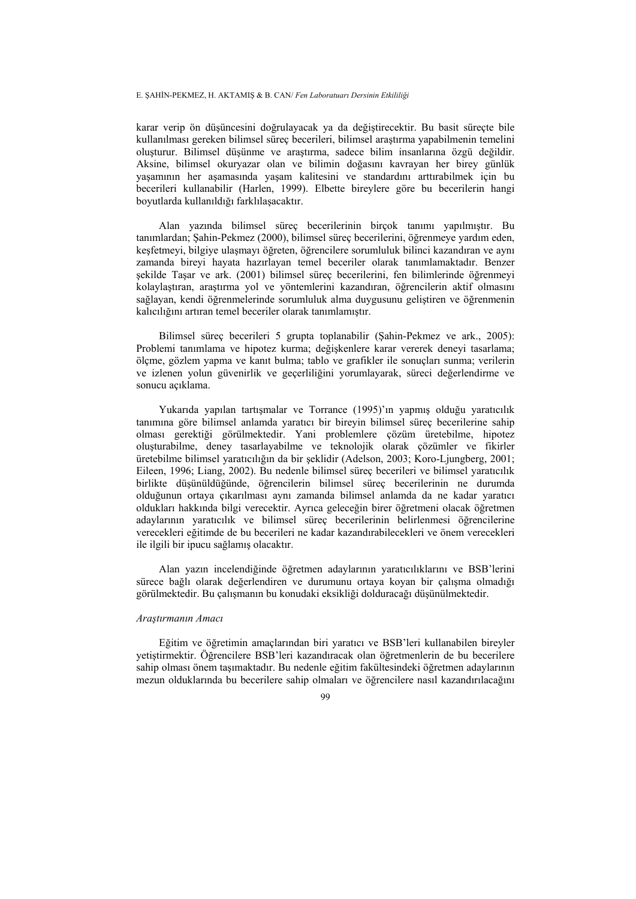karar verip ön düşüncesini doğrulayacak ya da değiştirecektir. Bu basit süreçte bile kullanılması gereken bilimsel süreç becerileri, bilimsel araştırma yapabilmenin temelini oluşturur. Bilimsel düşünme ve araştırma, sadece bilim insanlarına özgü değildir. Aksine, bilimsel okuryazar olan ve bilimin doğasını kavrayan her birey günlük yaşamının her aşamasında yaşam kalitesini ve standardını arttırabilmek için bu becerileri kullanabilir (Harlen, 1999). Elbette bireylere göre bu becerilerin hangi boyutlarda kullanıldığı farklılaşacaktır.

Alan yazında bilimsel süreç becerilerinin birçok tanımı yapılmıştır. Bu tanımlardan; Şahin-Pekmez (2000), bilimsel süreç becerilerini, öğrenmeye yardım eden, keşfetmeyi, bilgiye ulaşmayı öğreten, öğrencilere sorumluluk bilinci kazandıran ve aynı zamanda bireyi hayata hazırlayan temel beceriler olarak tanımlamaktadır. Benzer şekilde Taşar ve ark. (2001) bilimsel süreç becerilerini, fen bilimlerinde öğrenmeyi kolaylaştıran, araştırma yol ve yöntemlerini kazandıran, öğrencilerin aktif olmasını sağlayan, kendi öğrenmelerinde sorumluluk alma duygusunu geliştiren ve öğrenmenin kalıcılığını artıran temel beceriler olarak tanımlamıştır.

Bilimsel süreç becerileri 5 grupta toplanabilir (Şahin-Pekmez ve ark., 2005): Problemi tanımlama ve hipotez kurma; değişkenlere karar vererek deneyi tasarlama; ölçme, gözlem yapma ve kanıt bulma; tablo ve grafikler ile sonuçları sunma; verilerin ve izlenen yolun güvenirlik ve geçerliliğini yorumlayarak, süreci değerlendirme ve sonucu açıklama.

Yukarıda yapılan tartışmalar ve Torrance (1995)'ın yapmış olduğu yaratıcılık tanımına göre bilimsel anlamda yaratıcı bir bireyin bilimsel süreç becerilerine sahip olması gerektiği görülmektedir. Yani problemlere çözüm üretebilme, hipotez oluşturabilme, deney tasarlayabilme ve teknolojik olarak çözümler ve fikirler üretebilme bilimsel yaratıcılığın da bir şeklidir (Adelson, 2003; Koro-Ljungberg, 2001; Eileen, 1996; Liang, 2002). Bu nedenle bilimsel süreç becerileri ve bilimsel yaratıcılık birlikte düşünüldüğünde, öğrencilerin bilimsel süreç becerilerinin ne durumda olduğunun ortaya çıkarılması aynı zamanda bilimsel anlamda da ne kadar yaratıcı oldukları hakkında bilgi verecektir. Ayrıca geleceğin birer öğretmeni olacak öğretmen adaylarının yaratıcılık ve bilimsel süreç becerilerinin belirlenmesi öğrencilerine verecekleri eğitimde de bu becerileri ne kadar kazandırabilecekleri ve önem verecekleri ile ilgili bir ipucu sağlamış olacaktır.

Alan yazın incelendiğinde öğretmen adaylarının yaratıcılıklarını ve BSB'lerini sürece bağlı olarak değerlendiren ve durumunu ortaya koyan bir çalışma olmadığı görülmektedir. Bu çalışmanın bu konudaki eksikliği dolduracağı düşünülmektedir.

## *Araştırmanın Amacı*

Eğitim ve öğretimin amaçlarından biri yaratıcı ve BSB'leri kullanabilen bireyler yetiştirmektir. Öğrencilere BSB'leri kazandıracak olan öğretmenlerin de bu becerilere sahip olması önem taşımaktadır. Bu nedenle eğitim fakültesindeki öğretmen adaylarının mezun olduklarında bu becerilere sahip olmaları ve öğrencilere nasıl kazandırılacağını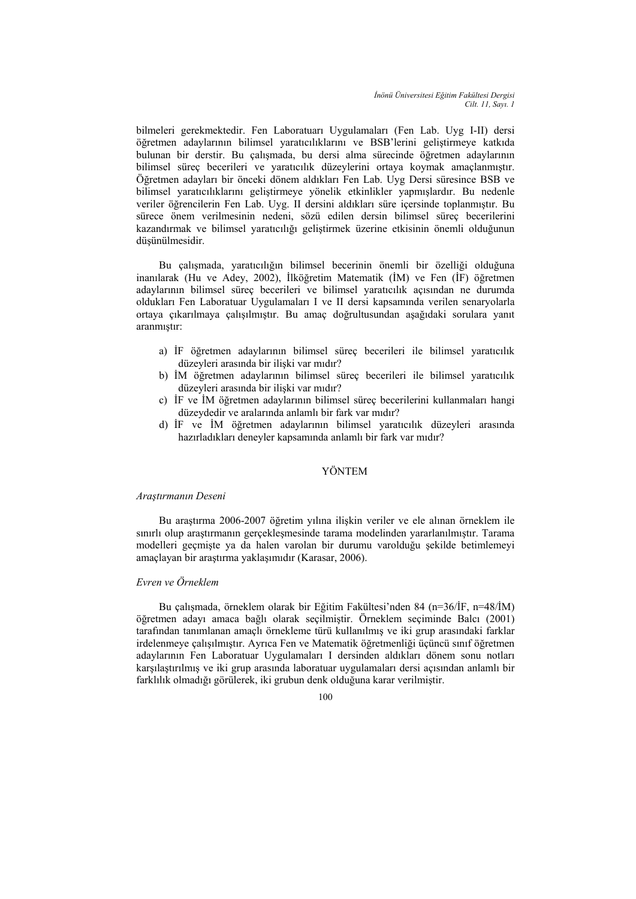bilmeleri gerekmektedir. Fen Laboratuarı Uygulamaları (Fen Lab. Uyg I-II) dersi öğretmen adaylarının bilimsel yaratıcılıklarını ve BSB'lerini geliştirmeye katkıda bulunan bir derstir. Bu çalışmada, bu dersi alma sürecinde öğretmen adaylarının bilimsel süreç becerileri ve yaratıcılık düzeylerini ortaya koymak amaçlanmıştır. Öğretmen adayları bir önceki dönem aldıkları Fen Lab. Uyg Dersi süresince BSB ve bilimsel yaratıcılıklarını geliştirmeye yönelik etkinlikler yapmışlardır. Bu nedenle veriler öğrencilerin Fen Lab. Uyg. II dersini aldıkları süre içersinde toplanmıştır. Bu sürece önem verilmesinin nedeni, sözü edilen dersin bilimsel süreç becerilerini kazandırmak ve bilimsel yaratıcılığı geliştirmek üzerine etkisinin önemli olduğunun düşünülmesidir.

Bu çalışmada, yaratıcılığın bilimsel becerinin önemli bir özelliği olduğuna inanılarak (Hu ve Adey, 2002), İlköğretim Matematik (İM) ve Fen (İF) öğretmen adaylarının bilimsel süreç becerileri ve bilimsel yaratıcılık açısından ne durumda oldukları Fen Laboratuar Uygulamaları I ve II dersi kapsamında verilen senaryolarla ortaya çıkarılmaya çalışılmıştır. Bu amaç doğrultusundan aşağıdaki sorulara yanıt aranmıştır:

- a) İF öğretmen adaylarının bilimsel süreç becerileri ile bilimsel yaratıcılık düzeyleri arasında bir ilişki var mıdır?
- b) İM öğretmen adaylarının bilimsel süreç becerileri ile bilimsel yaratıcılık düzeyleri arasında bir ilişki var mıdır?
- c) İF ve İM öğretmen adaylarının bilimsel süreç becerilerini kullanmaları hangi düzeydedir ve aralarında anlamlı bir fark var mıdır?
- d) İF ve İM öğretmen adaylarının bilimsel yaratıcılık düzeyleri arasında hazırladıkları deneyler kapsamında anlamlı bir fark var mıdır?

## YÖNTEM

## *Araştırmanın Deseni*

Bu araştırma 2006-2007 öğretim yılına ilişkin veriler ve ele alınan örneklem ile sınırlı olup araştırmanın gerçekleşmesinde tarama modelinden yararlanılmıştır. Tarama modelleri geçmişte ya da halen varolan bir durumu varolduğu şekilde betimlemeyi amaçlayan bir araştırma yaklaşımıdır (Karasar, 2006).

## *Evren ve Örneklem*

Bu çalışmada, örneklem olarak bir Eğitim Fakültesi'nden 84 (n=36/İF, n=48/İM) öğretmen adayı amaca bağlı olarak seçilmiştir. Örneklem seçiminde Balcı (2001) tarafından tanımlanan amaçlı örnekleme türü kullanılmış ve iki grup arasındaki farklar irdelenmeye çalışılmıştır. Ayrıca Fen ve Matematik öğretmenliği üçüncü sınıf öğretmen adaylarının Fen Laboratuar Uygulamaları I dersinden aldıkları dönem sonu notları karşılaştırılmış ve iki grup arasında laboratuar uygulamaları dersi açısından anlamlı bir farklılık olmadığı görülerek, iki grubun denk olduğuna karar verilmiştir.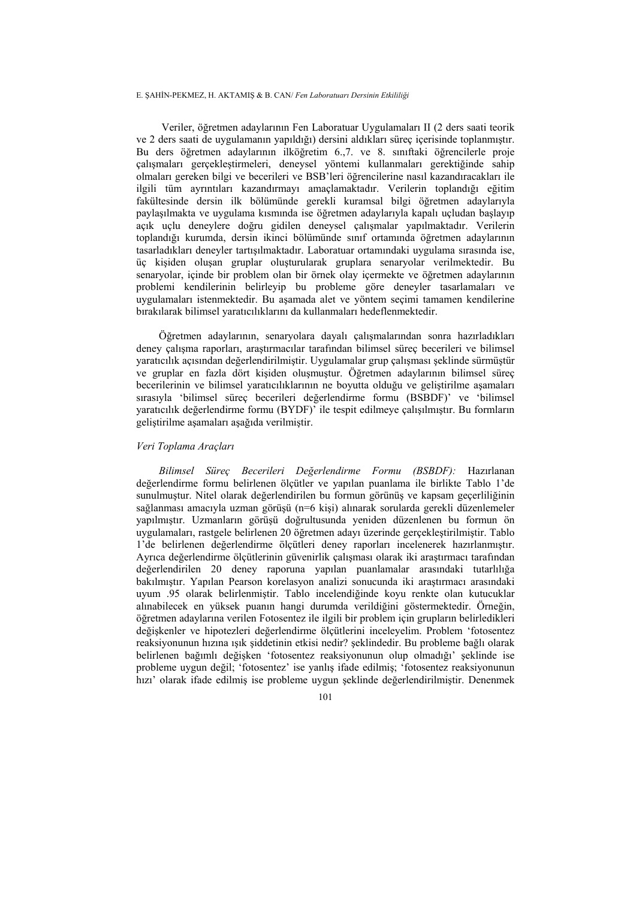#### E. ŞAHİN-PEKMEZ, H. AKTAMIŞ & B. CAN/ *Fen Laboratuarı Dersinin Etkililiği*

 Veriler, öğretmen adaylarının Fen Laboratuar Uygulamaları II (2 ders saati teorik ve 2 ders saati de uygulamanın yapıldığı) dersini aldıkları süreç içerisinde toplanmıştır. Bu ders öğretmen adaylarının ilköğretim 6.,7. ve 8. sınıftaki öğrencilerle proje çalışmaları gerçekleştirmeleri, deneysel yöntemi kullanmaları gerektiğinde sahip olmaları gereken bilgi ve becerileri ve BSB'leri öğrencilerine nasıl kazandıracakları ile ilgili tüm ayrıntıları kazandırmayı amaçlamaktadır. Verilerin toplandığı eğitim fakültesinde dersin ilk bölümünde gerekli kuramsal bilgi öğretmen adaylarıyla paylaşılmakta ve uygulama kısmında ise öğretmen adaylarıyla kapalı uçludan başlayıp açık uçlu deneylere doğru gidilen deneysel çalışmalar yapılmaktadır. Verilerin toplandığı kurumda, dersin ikinci bölümünde sınıf ortamında öğretmen adaylarının tasarladıkları deneyler tartışılmaktadır. Laboratuar ortamındaki uygulama sırasında ise, üç kişiden oluşan gruplar oluşturularak gruplara senaryolar verilmektedir. Bu senaryolar, içinde bir problem olan bir örnek olay içermekte ve öğretmen adaylarının problemi kendilerinin belirleyip bu probleme göre deneyler tasarlamaları ve uygulamaları istenmektedir. Bu aşamada alet ve yöntem seçimi tamamen kendilerine bırakılarak bilimsel yaratıcılıklarını da kullanmaları hedeflenmektedir.

Öğretmen adaylarının, senaryolara dayalı çalışmalarından sonra hazırladıkları deney çalışma raporları, araştırmacılar tarafından bilimsel süreç becerileri ve bilimsel yaratıcılık açısından değerlendirilmiştir. Uygulamalar grup çalışması şeklinde sürmüştür ve gruplar en fazla dört kişiden oluşmuştur. Öğretmen adaylarının bilimsel süreç becerilerinin ve bilimsel yaratıcılıklarının ne boyutta olduğu ve geliştirilme aşamaları sırasıyla 'bilimsel süreç becerileri değerlendirme formu (BSBDF)' ve 'bilimsel yaratıcılık değerlendirme formu (BYDF)' ile tespit edilmeye çalışılmıştır. Bu formların geliştirilme aşamaları aşağıda verilmiştir.

## *Veri Toplama Araçları*

*Bilimsel Süreç Becerileri Değerlendirme Formu (BSBDF):* Hazırlanan değerlendirme formu belirlenen ölçütler ve yapılan puanlama ile birlikte Tablo 1'de sunulmuştur. Nitel olarak değerlendirilen bu formun görünüş ve kapsam geçerliliğinin sağlanması amacıyla uzman görüşü (n=6 kişi) alınarak sorularda gerekli düzenlemeler yapılmıştır. Uzmanların görüşü doğrultusunda yeniden düzenlenen bu formun ön uygulamaları, rastgele belirlenen 20 öğretmen adayı üzerinde gerçekleştirilmiştir. Tablo 1'de belirlenen değerlendirme ölçütleri deney raporları incelenerek hazırlanmıştır. Ayrıca değerlendirme ölçütlerinin güvenirlik çalışması olarak iki araştırmacı tarafından değerlendirilen 20 deney raporuna yapılan puanlamalar arasındaki tutarlılığa bakılmıştır. Yapılan Pearson korelasyon analizi sonucunda iki araştırmacı arasındaki uyum .95 olarak belirlenmiştir. Tablo incelendiğinde koyu renkte olan kutucuklar alınabilecek en yüksek puanın hangi durumda verildiğini göstermektedir. Örneğin, öğretmen adaylarına verilen Fotosentez ile ilgili bir problem için grupların belirledikleri değişkenler ve hipotezleri değerlendirme ölçütlerini inceleyelim. Problem 'fotosentez reaksiyonunun hızına ışık şiddetinin etkisi nedir? şeklindedir. Bu probleme bağlı olarak belirlenen bağımlı değişken 'fotosentez reaksiyonunun olup olmadığı' şeklinde ise probleme uygun değil; 'fotosentez' ise yanlış ifade edilmiş; 'fotosentez reaksiyonunun hızı' olarak ifade edilmiş ise probleme uygun şeklinde değerlendirilmiştir. Denenmek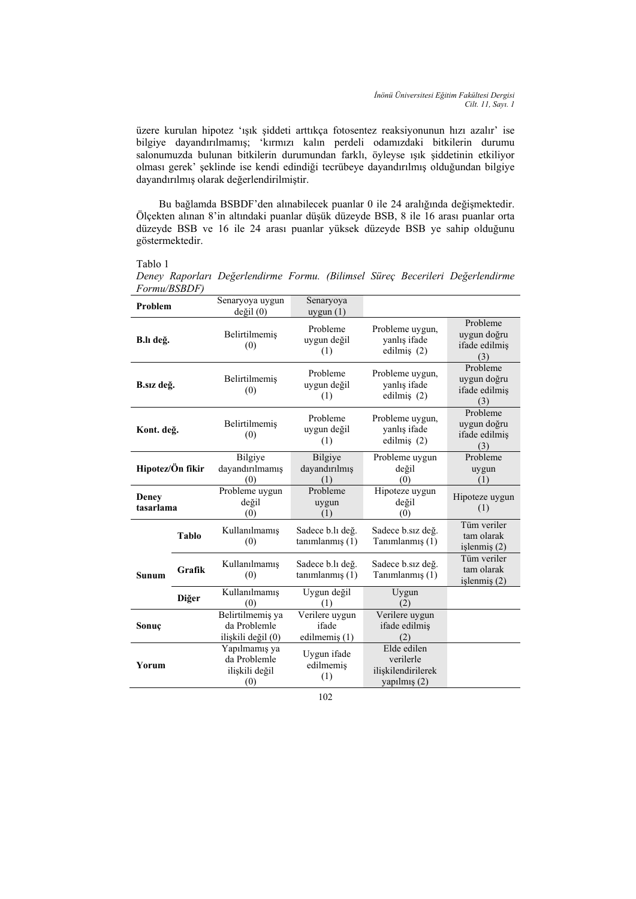üzere kurulan hipotez 'ışık şiddeti arttıkça fotosentez reaksiyonunun hızı azalır' ise bilgiye dayandırılmamış; 'kırmızı kalın perdeli odamızdaki bitkilerin durumu salonumuzda bulunan bitkilerin durumundan farklı, öyleyse ışık şiddetinin etkiliyor olması gerek' şeklinde ise kendi edindiği tecrübeye dayandırılmış olduğundan bilgiye dayandırılmış olarak değerlendirilmiştir.

Bu bağlamda BSBDF'den alınabilecek puanlar 0 ile 24 aralığında değişmektedir. Ölçekten alınan 8'in altındaki puanlar düşük düzeyde BSB, 8 ile 16 arası puanlar orta düzeyde BSB ve 16 ile 24 arası puanlar yüksek düzeyde BSB ye sahip olduğunu göstermektedir.

#### Tablo 1

*Deney Raporları Değerlendirme Formu. (Bilimsel Süreç Becerileri Değerlendirme Formu/BSBDF)*

| Problem            |        | Senaryoya uygun<br>değil(0)                            | Senaryoya<br>uygun(1)                    |                                                                |                                                 |
|--------------------|--------|--------------------------------------------------------|------------------------------------------|----------------------------------------------------------------|-------------------------------------------------|
| B.lı değ.          |        | Belirtilmemiş<br>(0)                                   | Probleme<br>uygun değil<br>(1)           | Probleme uygun,<br>yanlış ifade<br>edilmiş (2)                 | Probleme<br>uygun doğru<br>ifade edilmiş<br>(3) |
| B.sız değ.         |        | Belirtilmemiş<br>(0)                                   | Probleme<br>uygun değil<br>(1)           | Probleme uygun,<br>yanlış ifade<br>edilmiş $(2)$               | Probleme<br>uygun doğru<br>ifade edilmiş<br>(3) |
| Kont. değ.         |        | Belirtilmemiş<br>(0)                                   | Probleme<br>uygun değil<br>(1)           | Probleme uygun,<br>yanlış ifade<br>edilmiş (2)                 | Probleme<br>uygun doğru<br>ifade edilmiş<br>(3) |
| Hipotez/Ön fikir   |        | Bilgiye<br>dayandırılmamış<br>(0)                      | Bilgiye<br>dayandırılmış<br>(1)          | Probleme uygun<br>değil<br>(0)                                 | Probleme<br>uygun<br>(1)                        |
| Deney<br>tasarlama |        | Probleme uygun<br>değil<br>(0)                         | Probleme<br>uygun<br>(1)                 | Hipoteze uygun<br>değil<br>(0)                                 | Hipoteze uygun<br>(1)                           |
| Tablo              |        | Kullanılmamış<br>(0)                                   | Sadece b.li değ.<br>tanimlanms(1)        | Sadece b.siz değ.<br>Tanımlanmış (1)                           | Tüm veriler<br>tam olarak<br>işlenmiş (2)       |
| <b>Sunum</b>       | Grafik | Kullanılmamıs<br>(0)                                   | Sadece b.li değ.<br>tannmannus(1)        | Sadece b.siz değ.<br>Tanımlanmış (1)                           | Tüm veriler<br>tam olarak<br>işlenmiş $(2)$     |
|                    | Diğer  | Kullanılmamış<br>(0)                                   | Uygun değil<br>(1)                       | Uygun<br>(2)                                                   |                                                 |
| Sonuç              |        | Belirtilmemiş ya<br>da Problemle<br>ilişkili değil (0) | Verilere uygun<br>ifade<br>edilmemiş (1) | Verilere uygun<br>ifade edilmiş<br>(2)                         |                                                 |
| Yorum              |        | Yapılmamış ya<br>da Problemle<br>ilişkili değil<br>(0) | Uygun ifade<br>edilmemiş<br>(1)          | Elde edilen<br>verilerle<br>ilişkilendirilerek<br>yapılmış (2) |                                                 |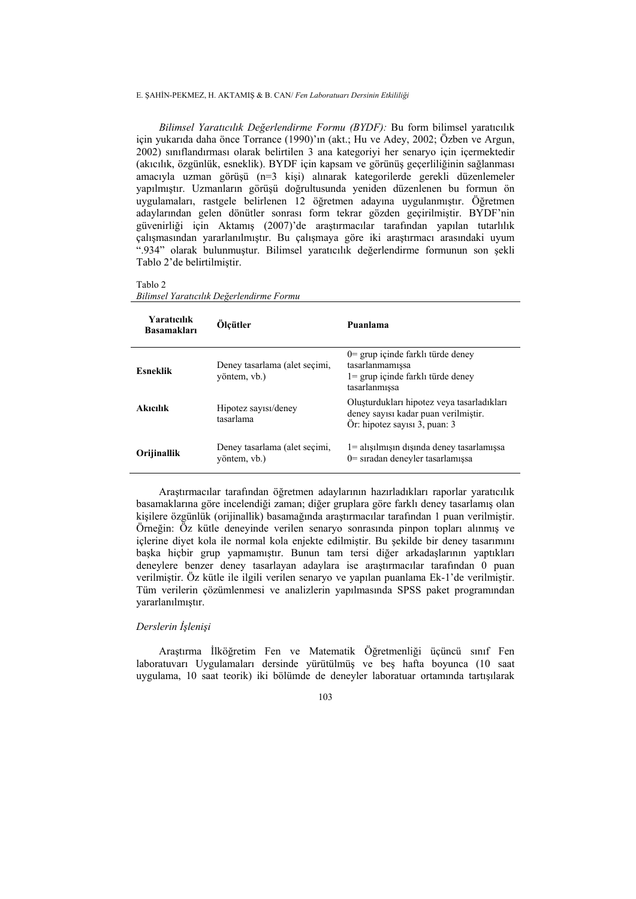#### E. ŞAHİN-PEKMEZ, H. AKTAMIŞ & B. CAN/ *Fen Laboratuarı Dersinin Etkililiği*

*Bilimsel Yaratıcılık Değerlendirme Formu (BYDF):* Bu form bilimsel yaratıcılık için yukarıda daha önce Torrance (1990)'ın (akt.; Hu ve Adey, 2002; Özben ve Argun, 2002) sınıflandırması olarak belirtilen 3 ana kategoriyi her senaryo için içermektedir (akıcılık, özgünlük, esneklik). BYDF için kapsam ve görünüş geçerliliğinin sağlanması amacıyla uzman görüşü (n=3 kişi) alınarak kategorilerde gerekli düzenlemeler yapılmıştır. Uzmanların görüşü doğrultusunda yeniden düzenlenen bu formun ön uygulamaları, rastgele belirlenen 12 öğretmen adayına uygulanmıştır. Öğretmen adaylarından gelen dönütler sonrası form tekrar gözden geçirilmiştir. BYDF'nin güvenirliği için Aktamış (2007)'de araştırmacılar tarafından yapılan tutarlılık çalışmasından yararlanılmıştır. Bu çalışmaya göre iki araştırmacı arasındaki uyum ".934" olarak bulunmuştur. Bilimsel yaratıcılık değerlendirme formunun son şekli Tablo 2'de belirtilmiştir.

Tablo 2

| <b>Yaratıcılık</b><br>Basamakları | Olcütler                                      | Puanlama                                                                                                            |
|-----------------------------------|-----------------------------------------------|---------------------------------------------------------------------------------------------------------------------|
| <b>Esneklik</b>                   | Deney tasarlama (alet seçimi,<br>yöntem, vb.) | $0$ = grup içinde farklı türde deney<br>tasarlanmamissa<br>$1 =$ grup içinde farklı türde deney<br>tasarlanmissa    |
| Akıcılık                          | Hipotez sayisi/deney<br>tasarlama             | Oluşturdukları hipotez veya tasarladıkları<br>deney sayısı kadar puan verilmiştir.<br>Ör: hipotez sayısı 3, puan: 3 |
| <b>Orijinallik</b>                | Deney tasarlama (alet secimi,<br>yöntem, vb.) | 1 = alışılmışın dışında deney tasarlamışsa<br>0 = sıradan deneyler tasarlamışsa                                     |

*Bilimsel Yaratıcılık Değerlendirme Formu*

Araştırmacılar tarafından öğretmen adaylarının hazırladıkları raporlar yaratıcılık basamaklarına göre incelendiği zaman; diğer gruplara göre farklı deney tasarlamış olan kişilere özgünlük (orijinallik) basamağında araştırmacılar tarafından 1 puan verilmiştir. Örneğin: Öz kütle deneyinde verilen senaryo sonrasında pinpon topları alınmış ve içlerine diyet kola ile normal kola enjekte edilmiştir. Bu şekilde bir deney tasarımını başka hiçbir grup yapmamıştır. Bunun tam tersi diğer arkadaşlarının yaptıkları deneylere benzer deney tasarlayan adaylara ise araştırmacılar tarafından 0 puan verilmiştir. Öz kütle ile ilgili verilen senaryo ve yapılan puanlama Ek-1'de verilmiştir. Tüm verilerin çözümlenmesi ve analizlerin yapılmasında SPSS paket programından yararlanılmıştır.

## *Derslerin İşlenişi*

Araştırma İlköğretim Fen ve Matematik Öğretmenliği üçüncü sınıf Fen laboratuvarı Uygulamaları dersinde yürütülmüş ve beş hafta boyunca (10 saat uygulama, 10 saat teorik) iki bölümde de deneyler laboratuar ortamında tartışılarak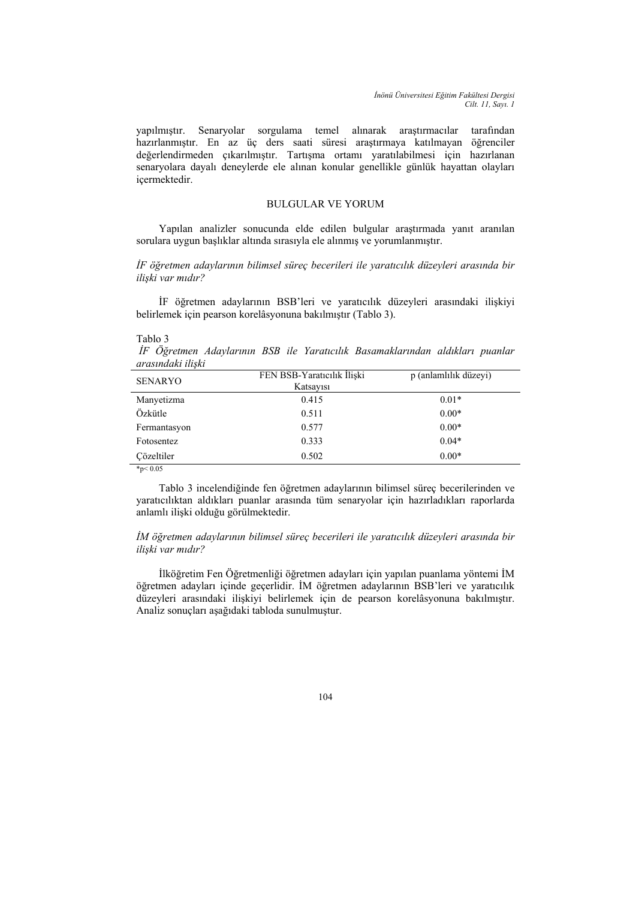yapılmıştır. Senaryolar sorgulama temel alınarak araştırmacılar tarafından hazırlanmıştır. En az üç ders saati süresi araştırmaya katılmayan öğrenciler değerlendirmeden çıkarılmıştır. Tartışma ortamı yaratılabilmesi için hazırlanan senaryolara dayalı deneylerde ele alınan konular genellikle günlük hayattan olayları içermektedir.

## BULGULAR VE YORUM

Yapılan analizler sonucunda elde edilen bulgular araştırmada yanıt aranılan sorulara uygun başlıklar altında sırasıyla ele alınmış ve yorumlanmıştır.

*İF öğretmen adaylarının bilimsel süreç becerileri ile yaratıcılık düzeyleri arasında bir ilişki var mıdır?* 

İF öğretmen adaylarının BSB'leri ve yaratıcılık düzeyleri arasındaki ilişkiyi belirlemek için pearson korelâsyonuna bakılmıştır (Tablo 3).

## Tablo 3

*İF Öğretmen Adaylarının BSB ile Yaratıcılık Basamaklarından aldıkları puanlar arasındaki ilişki*

| <b>SENARYO</b> | FEN BSB-Yaratıcılık İliski         | p (anlamlılık düzeyi) |  |
|----------------|------------------------------------|-----------------------|--|
|                | Katsay <sub>1</sub> s <sub>1</sub> |                       |  |
| Manyetizma     | 0.415                              | $0.01*$               |  |
| Özkütle        | 0.511                              | $0.00*$               |  |
| Fermantasyon   | 0.577                              | $0.00*$               |  |
| Fotosentez     | 0.333                              | $0.04*$               |  |
| Cözeltiler     | 0.502                              | $0.00*$               |  |
| * $p < 0.05$   |                                    |                       |  |

Tablo 3 incelendiğinde fen öğretmen adaylarının bilimsel süreç becerilerinden ve yaratıcılıktan aldıkları puanlar arasında tüm senaryolar için hazırladıkları raporlarda anlamlı ilişki olduğu görülmektedir.

# *İM öğretmen adaylarının bilimsel süreç becerileri ile yaratıcılık düzeyleri arasında bir ilişki var mıdır?*

İlköğretim Fen Öğretmenliği öğretmen adayları için yapılan puanlama yöntemi İM öğretmen adayları içinde geçerlidir. İM öğretmen adaylarının BSB'leri ve yaratıcılık düzeyleri arasındaki ilişkiyi belirlemek için de pearson korelâsyonuna bakılmıştır. Analiz sonuçları aşağıdaki tabloda sunulmuştur.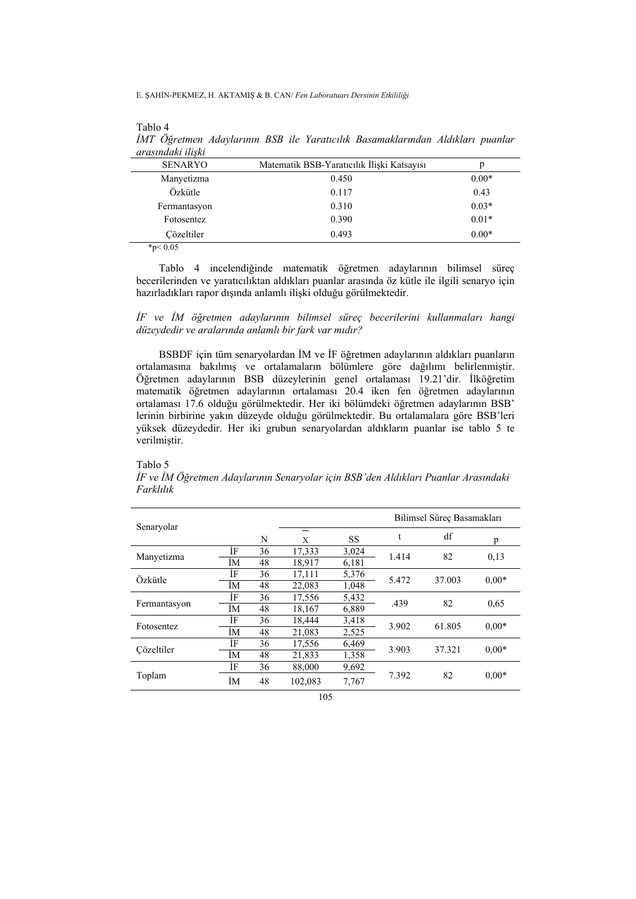| anic |  |
|------|--|
|------|--|

*İMT Öğretmen Adaylarının BSB ile Yaratıcılık Basamaklarından Aldıkları puanlar arasındaki ilişki* 

| <b>SENARYO</b> | Matematik BSB-Yaratıcılık İlişki Katsayısı | D       |
|----------------|--------------------------------------------|---------|
| Manyetizma     | 0.450                                      | $0.00*$ |
| Özkütle        | 0.117                                      | 0.43    |
| Fermantasyon   | 0.310                                      | $0.03*$ |
| Fotosentez     | 0.390                                      | $0.01*$ |
| Cözeltiler     | 0.493                                      | $0.00*$ |
| $* - 0.05$     |                                            |         |

\*p< 0.05

Tablo 5

Tablo 4 incelendiğinde matematik öğretmen adaylarının bilimsel süreç becerilerinden ve yaratıcılıktan aldıkları puanlar arasında öz kütle ile ilgili senaryo için hazırladıkları rapor dışında anlamlı ilişki olduğu görülmektedir.

*İF ve İM öğretmen adaylarının bilimsel süreç becerilerini kullanmaları hangi düzeydedir ve aralarında anlamlı bir fark var mıdır?* 

BSBDF için tüm senaryolardan İM ve İF öğretmen adaylarının aldıkları puanların ortalamasına bakılmış ve ortalamaların bölümlere göre dağılımı belirlenmiştir. Öğretmen adaylarının BSB düzeylerinin genel ortalaması 19.21'dir. İlköğretim matematik öğretmen adaylarının ortalaması 20.4 iken fen öğretmen adaylarının ortalaması 17.6 olduğu görülmektedir. Her iki bölümdeki öğretmen adaylarının BSB' lerinin birbirine yakın düzeyde olduğu görülmektedir. Bu ortalamalara göre BSB'leri yüksek düzeydedir. Her iki grubun senaryolardan aldıkların puanlar ise tablo 5 te verilmiştir.

*İF ve İM Öğretmen Adaylarının Senaryolar için BSB'den Aldıkları Puanlar Arasındaki Farklılık* 

| Senaryolar   |    |    |         | Bilimsel Sürec Basamakları |       |        |         |  |
|--------------|----|----|---------|----------------------------|-------|--------|---------|--|
|              |    | N  | X       | <b>SS</b>                  | t     | df     | p       |  |
| Manyetizma   | İF | 36 | 17,333  | 3,024                      | 1.414 | 82     | 0.13    |  |
|              | ĬМ | 48 | 18,917  | 6,181                      |       |        |         |  |
| Özkütle      | İF | 36 | 17,111  | 5,376                      | 5.472 | 37.003 | $0.00*$ |  |
|              | ĬМ | 48 | 22,083  | 1.048                      |       |        |         |  |
|              | İF | 36 | 17,556  | 5,432                      | .439  | 82     | 0.65    |  |
| Fermantasyon | ĬМ | 48 | 18,167  | 6,889                      |       |        |         |  |
| Fotosentez   | İF | 36 | 18,444  | 3,418                      | 3.902 | 61.805 | $0.00*$ |  |
|              | İМ | 48 | 21,083  | 2,525                      |       |        |         |  |
|              | İF | 36 | 17,556  | 6,469                      | 3.903 | 37.321 | $0.00*$ |  |
| Cözeltiler   | ĬМ | 48 | 21,833  | 1,358                      |       |        |         |  |
|              | İF | 36 | 88,000  | 9,692                      |       |        |         |  |
| Toplam       | İМ | 48 | 102,083 | 7,767                      | 7.392 | 82     | $0.00*$ |  |

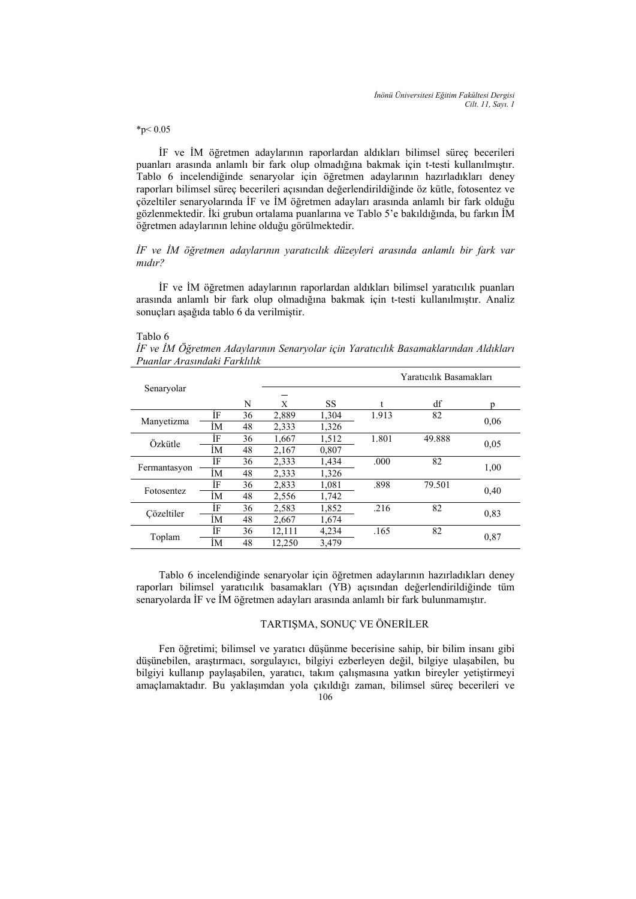## $*p < 0.05$

İF ve İM öğretmen adaylarının raporlardan aldıkları bilimsel süreç becerileri puanları arasında anlamlı bir fark olup olmadığına bakmak için t-testi kullanılmıştır. Tablo 6 incelendiğinde senaryolar için öğretmen adaylarının hazırladıkları deney raporları bilimsel süreç becerileri açısından değerlendirildiğinde öz kütle, fotosentez ve çözeltiler senaryolarında İF ve İM öğretmen adayları arasında anlamlı bir fark olduğu gözlenmektedir. İki grubun ortalama puanlarına ve Tablo 5'e bakıldığında, bu farkın İM öğretmen adaylarının lehine olduğu görülmektedir.

*İF ve İM öğretmen adaylarının yaratıcılık düzeyleri arasında anlamlı bir fark var mıdır?* 

İF ve İM öğretmen adaylarının raporlardan aldıkları bilimsel yaratıcılık puanları arasında anlamlı bir fark olup olmadığına bakmak için t-testi kullanılmıştır. Analiz sonuçları aşağıda tablo 6 da verilmiştir.

#### Tablo 6

*İF ve İM Öğretmen Adaylarının Senaryolar için Yaratıcılık Basamaklarından Aldıkları Puanlar Arasındaki Farklılık* 

|              |    |    |        |       |       | Yaratıcılık Basamakları |      |  |
|--------------|----|----|--------|-------|-------|-------------------------|------|--|
| Senaryolar   |    | N  | X      | SS    | t     | df                      | p    |  |
|              | İF | 36 | 2,889  | 1,304 | 1.913 | 82                      | 0.06 |  |
| Manyetizma   | İМ | 48 | 2,333  | 1,326 |       |                         |      |  |
| Özkütle      | İF | 36 | 1,667  | 1,512 | 1.801 | 49.888                  | 0.05 |  |
|              | İМ | 48 | 2,167  | 0,807 |       |                         |      |  |
| Fermantasyon | İF | 36 | 2,333  | 1,434 | .000  | 82                      | 1,00 |  |
|              | ĬМ | 48 | 2,333  | 1,326 |       |                         |      |  |
| Fotosentez   | İF | 36 | 2,833  | 1,081 | .898  | 79.501                  | 0,40 |  |
|              | İМ | 48 | 2,556  | 1,742 |       |                         |      |  |
| Cözeltiler   | İF | 36 | 2,583  | 1,852 | .216  | 82                      | 0.83 |  |
|              | ĬМ | 48 | 2,667  | 1,674 |       |                         |      |  |
| Toplam       | İF | 36 | 12,111 | 4,234 | .165  | 82                      | 0.87 |  |
|              | İМ | 48 | 12,250 | 3,479 |       |                         |      |  |

Tablo 6 incelendiğinde senaryolar için öğretmen adaylarının hazırladıkları deney raporları bilimsel yaratıcılık basamakları (YB) açısından değerlendirildiğinde tüm senaryolarda İF ve İM öğretmen adayları arasında anlamlı bir fark bulunmamıştır.

# TARTIŞMA, SONUÇ VE ÖNERİLER

Fen öğretimi; bilimsel ve yaratıcı düşünme becerisine sahip, bir bilim insanı gibi düşünebilen, araştırmacı, sorgulayıcı, bilgiyi ezberleyen değil, bilgiye ulaşabilen, bu bilgiyi kullanıp paylaşabilen, yaratıcı, takım çalışmasına yatkın bireyler yetiştirmeyi amaçlamaktadır. Bu yaklaşımdan yola çıkıldığı zaman, bilimsel süreç becerileri ve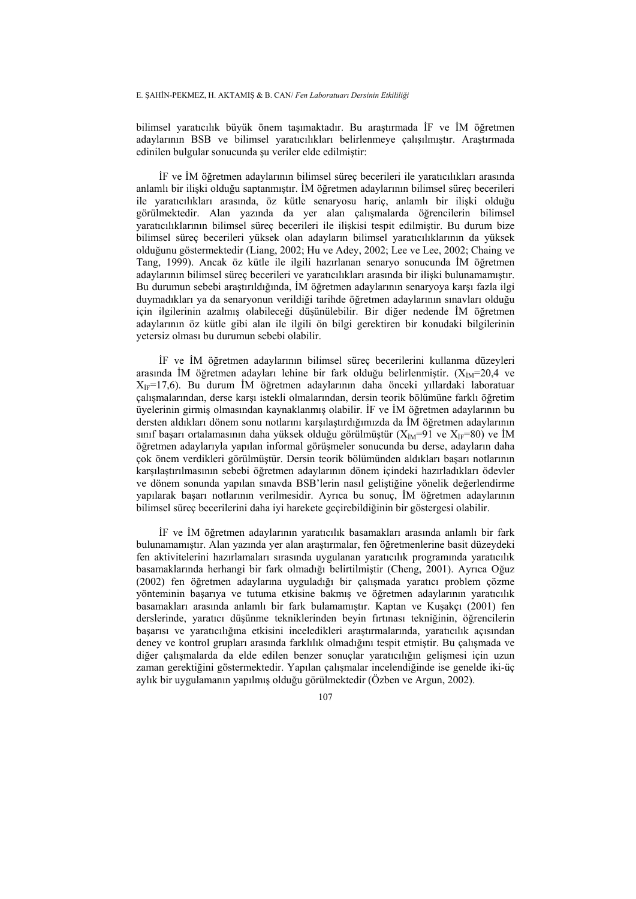bilimsel yaratıcılık büyük önem taşımaktadır. Bu araştırmada İF ve İM öğretmen adaylarının BSB ve bilimsel yaratıcılıkları belirlenmeye çalışılmıştır. Araştırmada edinilen bulgular sonucunda şu veriler elde edilmiştir:

İF ve İM öğretmen adaylarının bilimsel süreç becerileri ile yaratıcılıkları arasında anlamlı bir ilişki olduğu saptanmıştır. İM öğretmen adaylarının bilimsel süreç becerileri ile yaratıcılıkları arasında, öz kütle senaryosu hariç, anlamlı bir ilişki olduğu görülmektedir. Alan yazında da yer alan çalışmalarda öğrencilerin bilimsel yaratıcılıklarının bilimsel süreç becerileri ile ilişkisi tespit edilmiştir. Bu durum bize bilimsel süreç becerileri yüksek olan adayların bilimsel yaratıcılıklarının da yüksek olduğunu göstermektedir (Liang, 2002; Hu ve Adey, 2002; Lee ve Lee, 2002; Chaing ve Tang, 1999). Ancak öz kütle ile ilgili hazırlanan senaryo sonucunda İM öğretmen adaylarının bilimsel süreç becerileri ve yaratıcılıkları arasında bir ilişki bulunamamıştır. Bu durumun sebebi araştırıldığında, İM öğretmen adaylarının senaryoya karşı fazla ilgi duymadıkları ya da senaryonun verildiği tarihde öğretmen adaylarının sınavları olduğu için ilgilerinin azalmış olabileceği düşünülebilir. Bir diğer nedende İM öğretmen adaylarının öz kütle gibi alan ile ilgili ön bilgi gerektiren bir konudaki bilgilerinin yetersiz olması bu durumun sebebi olabilir.

İF ve İM öğretmen adaylarının bilimsel süreç becerilerini kullanma düzeyleri arasında İM öğretmen adayları lehine bir fark olduğu belirlenmiştir.  $(X_{iM}=20,4)$  ve  $X_{IF}$ =17,6). Bu durum İM öğretmen adaylarının daha önceki yıllardaki laboratuar çalışmalarından, derse karşı istekli olmalarından, dersin teorik bölümüne farklı öğretim üyelerinin girmiş olmasından kaynaklanmış olabilir. İF ve İM öğretmen adaylarının bu dersten aldıkları dönem sonu notlarını karşılaştırdığımızda da İM öğretmen adaylarının sınıf başarı ortalamasının daha yüksek olduğu görülmüştür ( $X_{\text{IM}}=91$  ve  $X_{\text{IF}}=80$ ) ve İM öğretmen adaylarıyla yapılan informal görüşmeler sonucunda bu derse, adayların daha çok önem verdikleri görülmüştür. Dersin teorik bölümünden aldıkları başarı notlarının karşılaştırılmasının sebebi öğretmen adaylarının dönem içindeki hazırladıkları ödevler ve dönem sonunda yapılan sınavda BSB'lerin nasıl geliştiğine yönelik değerlendirme yapılarak başarı notlarının verilmesidir. Ayrıca bu sonuç, İM öğretmen adaylarının bilimsel süreç becerilerini daha iyi harekete geçirebildiğinin bir göstergesi olabilir.

İF ve İM öğretmen adaylarının yaratıcılık basamakları arasında anlamlı bir fark bulunamamıştır. Alan yazında yer alan araştırmalar, fen öğretmenlerine basit düzeydeki fen aktivitelerini hazırlamaları sırasında uygulanan yaratıcılık programında yaratıcılık basamaklarında herhangi bir fark olmadığı belirtilmiştir (Cheng, 2001). Ayrıca Oğuz (2002) fen öğretmen adaylarına uyguladığı bir çalışmada yaratıcı problem çözme yönteminin başarıya ve tutuma etkisine bakmış ve öğretmen adaylarının yaratıcılık basamakları arasında anlamlı bir fark bulamamıştır. Kaptan ve Kuşakçı (2001) fen derslerinde, yaratıcı düşünme tekniklerinden beyin fırtınası tekniğinin, öğrencilerin başarısı ve yaratıcılığına etkisini inceledikleri araştırmalarında, yaratıcılık açısından deney ve kontrol grupları arasında farklılık olmadığını tespit etmiştir. Bu çalışmada ve diğer çalışmalarda da elde edilen benzer sonuçlar yaratıcılığın gelişmesi için uzun zaman gerektiğini göstermektedir. Yapılan çalışmalar incelendiğinde ise genelde iki-üç aylık bir uygulamanın yapılmış olduğu görülmektedir (Özben ve Argun, 2002).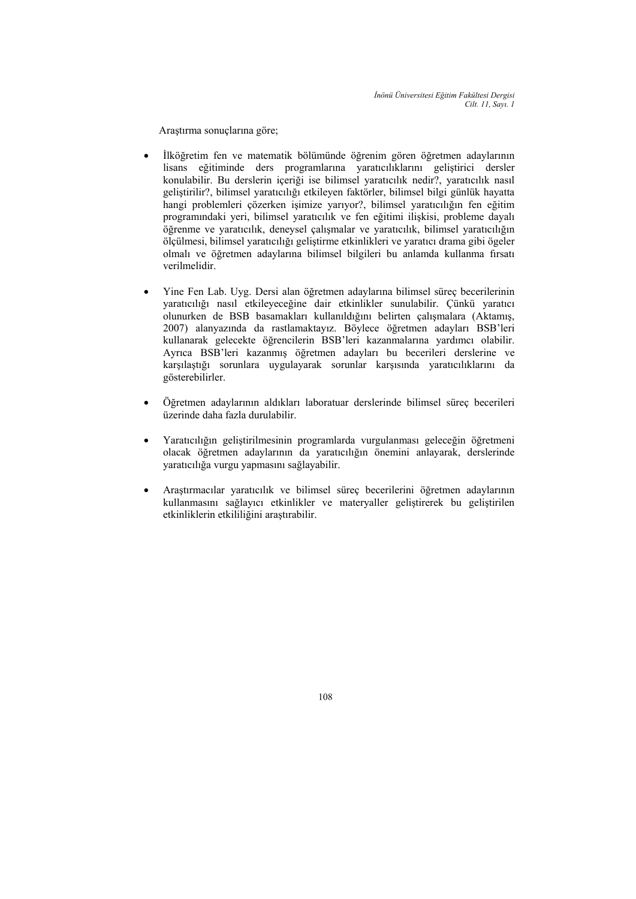Araştırma sonuçlarına göre;

- İlköğretim fen ve matematik bölümünde öğrenim gören öğretmen adaylarının lisans eğitiminde ders programlarına yaratıcılıklarını geliştirici dersler konulabilir. Bu derslerin içeriği ise bilimsel yaratıcılık nedir?, yaratıcılık nasıl geliştirilir?, bilimsel yaratıcılığı etkileyen faktörler, bilimsel bilgi günlük hayatta hangi problemleri çözerken işimize yarıyor?, bilimsel yaratıcılığın fen eğitim programındaki yeri, bilimsel yaratıcılık ve fen eğitimi ilişkisi, probleme dayalı öğrenme ve yaratıcılık, deneysel çalışmalar ve yaratıcılık, bilimsel yaratıcılığın ölçülmesi, bilimsel yaratıcılığı geliştirme etkinlikleri ve yaratıcı drama gibi ögeler olmalı ve öğretmen adaylarına bilimsel bilgileri bu anlamda kullanma fırsatı verilmelidir.
- Yine Fen Lab. Uyg. Dersi alan öğretmen adaylarına bilimsel süreç becerilerinin yaratıcılığı nasıl etkileyeceğine dair etkinlikler sunulabilir. Çünkü yaratıcı olunurken de BSB basamakları kullanıldığını belirten çalışmalara (Aktamış, 2007) alanyazında da rastlamaktayız. Böylece öğretmen adayları BSB'leri kullanarak gelecekte öğrencilerin BSB'leri kazanmalarına yardımcı olabilir. Ayrıca BSB'leri kazanmış öğretmen adayları bu becerileri derslerine ve karşılaştığı sorunlara uygulayarak sorunlar karşısında yaratıcılıklarını da gösterebilirler.
- Öğretmen adaylarının aldıkları laboratuar derslerinde bilimsel süreç becerileri üzerinde daha fazla durulabilir.
- Yaratıcılığın geliştirilmesinin programlarda vurgulanması geleceğin öğretmeni olacak öğretmen adaylarının da yaratıcılığın önemini anlayarak, derslerinde yaratıcılığa vurgu yapmasını sağlayabilir.
- Araştırmacılar yaratıcılık ve bilimsel süreç becerilerini öğretmen adaylarının kullanmasını sağlayıcı etkinlikler ve materyaller geliştirerek bu geliştirilen etkinliklerin etkililiğini araştırabilir.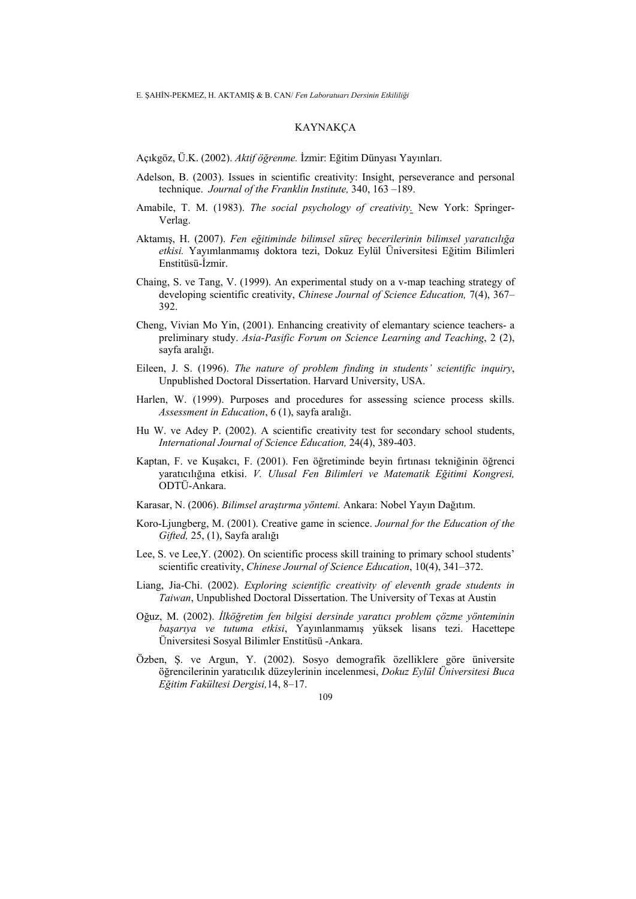# KAYNAKÇA

Açıkgöz, Ü.K. (2002). *Aktif öğrenme.* İzmir: Eğitim Dünyası Yayınları.

- Adelson, B. (2003). Issues in scientific creativity: Insight, perseverance and personal technique. *Journal of the Franklin Institute,* 340, 163 –189.
- Amabile, T. M. (1983). *The social psychology of creativity.* New York: Springer-Verlag.
- Aktamış, H. (2007). *Fen eğitiminde bilimsel süreç becerilerinin bilimsel yaratıcılığa etkisi.* Yayımlanmamış doktora tezi, Dokuz Eylül Üniversitesi Eğitim Bilimleri Enstitüsü-İzmir.
- Chaing, S. ve Tang, V. (1999). An experimental study on a v-map teaching strategy of developing scientific creativity, *Chinese Journal of Science Education,* 7(4), 367– 392.
- Cheng, Vivian Mo Yin, (2001). Enhancing creativity of elemantary science teachers- a preliminary study. *Asia-Pasific Forum on Science Learning and Teaching*, 2 (2), sayfa aralığı.
- Eileen, J. S. (1996). *The nature of problem finding in students' scientific inquiry*, Unpublished Doctoral Dissertation. Harvard University, USA.
- Harlen, W. (1999). Purposes and procedures for assessing science process skills. *Assessment in Education*, 6 (1), sayfa aralığı.
- Hu W. ve Adey P. (2002). A scientific creativity test for secondary school students, *International Journal of Science Education,* 24(4), 389-403.
- Kaptan, F. ve Kuşakcı, F. (2001). Fen öğretiminde beyin fırtınası tekniğinin öğrenci yaratıcılığına etkisi. *V. Ulusal Fen Bilimleri ve Matematik Eğitimi Kongresi,*  ODTÜ-Ankara.
- Karasar, N. (2006). *Bilimsel araştırma yöntemi.* Ankara: Nobel Yayın Dağıtım.
- Koro-Ljungberg, M. (2001). Creative game in science. *Journal for the Education of the Gifted,* 25, (1), Sayfa aralığı
- Lee, S. ve Lee,Y. (2002). On scientific process skill training to primary school students' scientific creativity, *Chinese Journal of Science Education*, 10(4), 341–372.
- Liang, Jia-Chi. (2002). *Exploring scientific creativity of eleventh grade students in Taiwan*, Unpublished Doctoral Dissertation. The University of Texas at Austin
- Oğuz, M. (2002). *İlköğretim fen bilgisi dersinde yaratıcı problem çözme yönteminin başarıya ve tutuma etkisi*, Yayınlanmamış yüksek lisans tezi. Hacettepe Üniversitesi Sosyal Bilimler Enstitüsü -Ankara.
- Özben, Ş. ve Argun, Y. (2002). Sosyo demografik özelliklere göre üniversite öğrencilerinin yaratıcılık düzeylerinin incelenmesi, *Dokuz Eylül Üniversitesi Buca Eğitim Fakültesi Dergisi,*14, 8–17.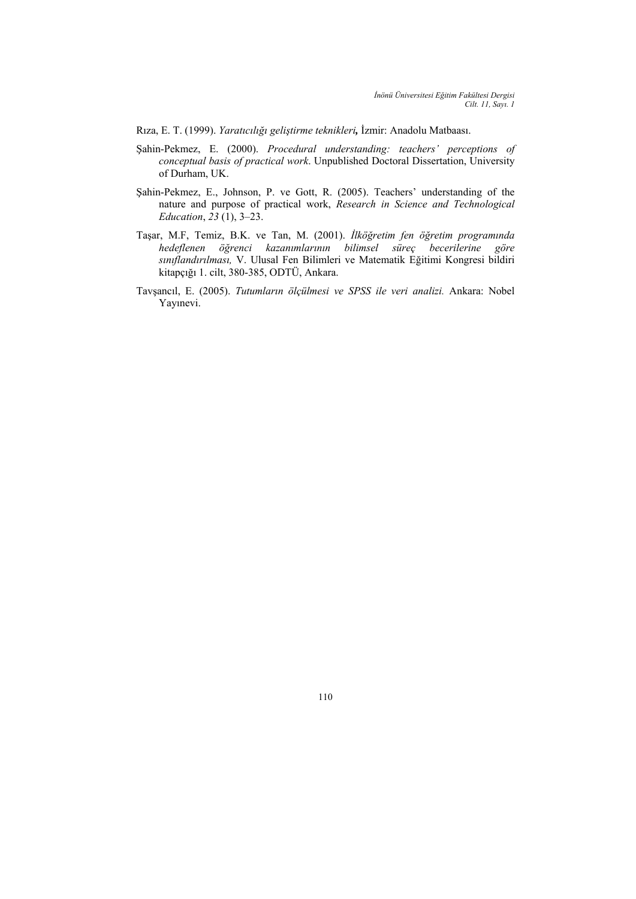Rıza, E. T. (1999). *Yaratıcılığı geliştirme teknikleri,* İzmir: Anadolu Matbaası.

- Şahin-Pekmez, E. (2000). *Procedural understanding: teachers' perceptions of conceptual basis of practical work*. Unpublished Doctoral Dissertation, University of Durham, UK.
- Şahin-Pekmez, E., Johnson, P. ve Gott, R. (2005). Teachers' understanding of the nature and purpose of practical work, *Research in Science and Technological Education*, *23* (1), 3–23.
- Taşar, M.F, Temiz, B.K. ve Tan, M. (2001). *İlköğretim fen öğretim programında hedeflenen öğrenci kazanımlarının bilimsel süreç becerilerine göre sınıflandırılması,* V. Ulusal Fen Bilimleri ve Matematik Eğitimi Kongresi bildiri kitapçığı 1. cilt, 380-385, ODTÜ, Ankara.
- Tavşancıl, E. (2005). *Tutumların ölçülmesi ve SPSS ile veri analizi.* Ankara: Nobel Yayınevi.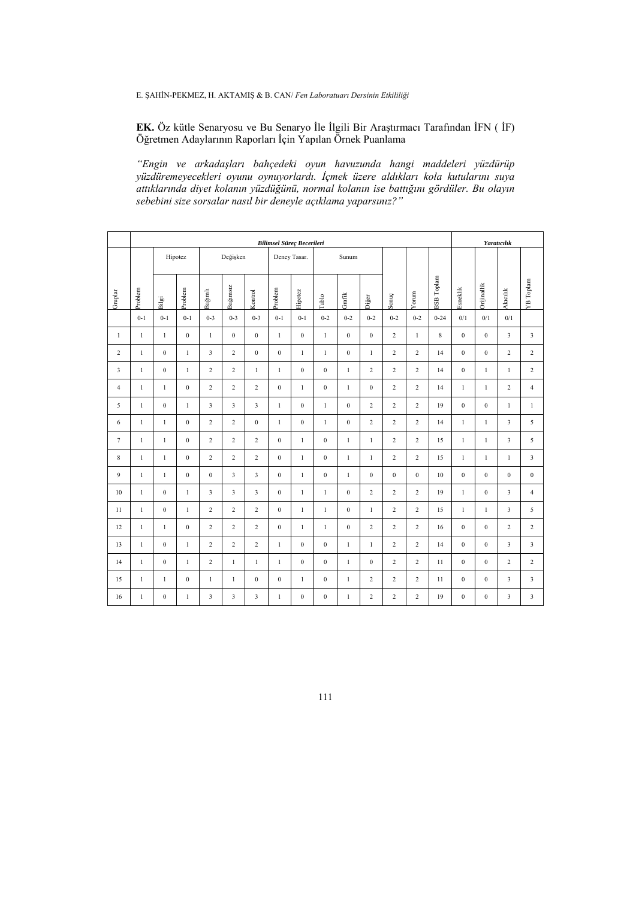E. ŞAHİN-PEKMEZ, H. AKTAMIŞ & B. CAN/ *Fen Laboratuarı Dersinin Etkililiği* 

**EK.** Öz kütle Senaryosu ve Bu Senaryo İle İlgili Bir Araştırmacı Tarafından İFN ( İF) Öğretmen Adaylarının Raporları İçin Yapılan Örnek Puanlama

*"Engin ve arkadaşları bahçedeki oyun havuzunda hangi maddeleri yüzdürüp yüzdüremeyecekleri oyunu oynuyorlardı. İçmek üzere aldıkları kola kutularını suya attıklarında diyet kolanın yüzdüğünü, normal kolanın ise battığını gördüler. Bu olayın sebebini size sorsalar nasıl bir deneyle açıklama yaparsınız?"* 

|                | <b>Bilimsel Sürec Becerileri</b> |                  |                |                |                |                |              |              |                  |              |                |                |                  | Yaratıcılık       |                |                  |                |                         |
|----------------|----------------------------------|------------------|----------------|----------------|----------------|----------------|--------------|--------------|------------------|--------------|----------------|----------------|------------------|-------------------|----------------|------------------|----------------|-------------------------|
|                |                                  |                  | Hipotez        |                | Değişken       |                |              | Deney Tasar. | Sunum            |              |                |                |                  |                   |                |                  |                |                         |
| Gruplar        | Problem                          | Bilgi            | Problem        | Bağımlı        | Bağımsız       | Kontrol        | Problem      | Hipotez      | Tablo            | Grafik       | Diğer          | Sonuç          | Yorum            | <b>BSB</b> Toplam | Esneklik       | Orijinallik      | Aktorlik       | YB Toplam               |
|                | $0 - 1$                          | $0 - 1$          | $0 - 1$        | $0 - 3$        | $0 - 3$        | $0 - 3$        | $0 - 1$      | $0 - 1$      | $0 - 2$          | $0 - 2$      | $0 - 2$        | $0 - 2$        | $0 - 2$          | $0 - 24$          | 0/1            | 0/1              | 0/1            |                         |
| $\mathbf{1}$   | $\mathbf{1}$                     | $\mathbf{1}$     | $\overline{0}$ | $\mathbf{1}$   | $\mathbf{0}$   | $\overline{0}$ | $\mathbf{1}$ | $\mathbf{0}$ | $\mathbf{1}$     | $\mathbf{0}$ | $\mathbf{0}$   | $\overline{c}$ | $\mathbf{1}$     | $\,$ 8 $\,$       | $\mathbf{0}$   | $\mathbf{0}$     | $\mathfrak{Z}$ | $\overline{\mathbf{3}}$ |
| $\overline{c}$ | $\mathbf{1}$                     | $\boldsymbol{0}$ | $\mathbf{1}$   | 3              | $\overline{c}$ | $\mathbf{0}$   | $\mathbf{0}$ | $\mathbf{1}$ | $\mathbf{1}$     | $\mathbf{0}$ | $\mathbf{1}$   | $\overline{c}$ | $\overline{c}$   | 14                | $\overline{0}$ | $\mathbf{0}$     | $\overline{c}$ | $\overline{c}$          |
| 3              | $\mathbf{1}$                     | $\boldsymbol{0}$ | $\mathbf{1}$   | $\overline{2}$ | $\overline{c}$ | $\mathbf{1}$   | $\mathbf{1}$ | $\mathbf{0}$ | $\overline{0}$   | $\mathbf{1}$ | $\overline{c}$ | $\overline{c}$ | $\overline{c}$   | 14                | $\bf{0}$       | $\mathbf{1}$     | $\mathbf{1}$   | $\overline{c}$          |
| 4              | $\mathbf{1}$                     | $\mathbf{1}$     | $\overline{0}$ | $\overline{c}$ | $\sqrt{2}$     | $\overline{c}$ | $\mathbf{0}$ | $\mathbf{1}$ | $\overline{0}$   | $\mathbf{1}$ | $\mathbf{0}$   | $\overline{c}$ | $\overline{2}$   | 14                | $\mathbf{1}$   | $\mathbf{1}$     | $\sqrt{2}$     | $\overline{4}$          |
| 5              | $\mathbf{1}$                     | $\boldsymbol{0}$ | $\mathbf{1}$   | 3              | 3              | 3              | $\mathbf{1}$ | $\mathbf{0}$ | $\mathbf{1}$     | $\mathbf{0}$ | $\overline{c}$ | $\overline{c}$ | $\sqrt{2}$       | 19                | $\mathbf{0}$   | $\mathbf{0}$     | $\mathbf{1}$   | $\mathbf{1}$            |
| 6              | $\mathbf{1}$                     | $\mathbf{1}$     | $\overline{0}$ | $\overline{2}$ | $\overline{2}$ | $\mathbf{0}$   | $\mathbf{1}$ | $\mathbf{0}$ | $\mathbf{1}$     | $\mathbf{0}$ | $\overline{c}$ | $\overline{c}$ | $\overline{2}$   | 14                | $\mathbf{1}$   | $\mathbf{1}$     | $\overline{3}$ | 5                       |
| $\tau$         | $\mathbf{1}$                     | $\mathbf{1}$     | $\mathbf{0}$   | $\overline{2}$ | $\overline{c}$ | $\overline{c}$ | $\mathbf{0}$ | $\mathbf{1}$ | $\mathbf{0}$     | 1            | $\mathbf{1}$   | $\overline{c}$ | $\overline{2}$   | 15                | $\mathbf{1}$   | $\mathbf{1}$     | $\overline{3}$ | 5                       |
| $\,$ 8 $\,$    | $\mathbf{1}$                     | $\mathbf{1}$     | $\mathbf{0}$   | $\overline{2}$ | $\overline{c}$ | $\overline{c}$ | $\mathbf{0}$ | $\mathbf{1}$ | $\mathbf{0}$     | $\mathbf{1}$ | $\mathbf{1}$   | $\overline{c}$ | $\overline{c}$   | 15                | $\mathbf{1}$   | 1                | $\mathbf{1}$   | 3                       |
| 9              | $\mathbf{1}$                     | $\mathbf{1}$     | $\bf{0}$       | $\mathbf{0}$   | 3              | 3              | $\mathbf{0}$ | $\mathbf{1}$ | $\boldsymbol{0}$ | $\mathbf{1}$ | $\mathbf{0}$   | $\mathbf{0}$   | $\boldsymbol{0}$ | $10\,$            | $\bf{0}$       | $\mathbf{0}$     | $\bf{0}$       | $\bf{0}$                |
| 10             | $\mathbf{1}$                     | $\mathbf{0}$     | 1              | 3              | 3              | 3              | $\theta$     | $\mathbf{1}$ | $\mathbf{1}$     | $\mathbf{0}$ | $\overline{c}$ | $\overline{c}$ | $\overline{2}$   | 19                | $\mathbf{1}$   | $\mathbf{0}$     | 3              | 4                       |
| 11             | $\mathbf{1}$                     | $\boldsymbol{0}$ | $\mathbf{1}$   | $\overline{2}$ | $\overline{c}$ | $\overline{c}$ | $\mathbf{0}$ | $\mathbf{1}$ | $\mathbf{1}$     | $\mathbf{0}$ | $\mathbf{1}$   | $\overline{c}$ | $\overline{c}$   | 15                | $\mathbf{1}$   | $\mathbf{1}$     | 3              | 5                       |
| 12             | $\mathbf{1}$                     | $\mathbf{1}$     | $\bf{0}$       | $\overline{2}$ | $\overline{c}$ | $\overline{c}$ | $\mathbf{0}$ | $\mathbf{1}$ | $\mathbf{1}$     | $\mathbf{0}$ | $\overline{c}$ | $\overline{c}$ | $\overline{c}$   | 16                | $\mathbf{0}$   | $\mathbf{0}$     | $\overline{c}$ | $\overline{c}$          |
| 13             | $\mathbf{1}$                     | $\boldsymbol{0}$ | $\mathbf{1}$   | $\overline{2}$ | $\overline{c}$ | $\overline{c}$ | $\mathbf{1}$ | $\mathbf{0}$ | $\overline{0}$   | $\mathbf{1}$ | $\mathbf{1}$   | $\overline{c}$ | $\overline{c}$   | 14                | $\mathbf{0}$   | $\mathbf{0}$     | $\overline{3}$ | 3                       |
| 14             | $\mathbf{1}$                     | $\mathbf{0}$     | 1              | $\overline{2}$ | 1              | $\mathbf{1}$   | $\mathbf{1}$ | $\mathbf{0}$ | $\mathbf{0}$     | $\mathbf{1}$ | $\mathbf{0}$   | $\overline{c}$ | $\overline{c}$   | 11                | $\mathbf{0}$   | $\mathbf{0}$     | $\overline{c}$ | $\overline{c}$          |
| 15             | $\mathbf{1}$                     | $\mathbf{1}$     | $\bf{0}$       | $\mathbf{1}$   | $\mathbf{1}$   | $\mathbf{0}$   | $\mathbf{0}$ | $\mathbf{1}$ | $\boldsymbol{0}$ | $\mathbf{1}$ | $\overline{c}$ | $\overline{c}$ | $\overline{c}$   | 11                | $\bf{0}$       | $\boldsymbol{0}$ | 3              | 3                       |
| 16             | $\mathbf{1}$                     | $\mathbf{0}$     | $\mathbf{1}$   | 3              | 3              | 3              | 1            | $\mathbf{0}$ | $\mathbf{0}$     | 1            | $\overline{c}$ | $\overline{c}$ | $\overline{2}$   | 19                | $\overline{0}$ | $\mathbf{0}$     | 3              | 3                       |